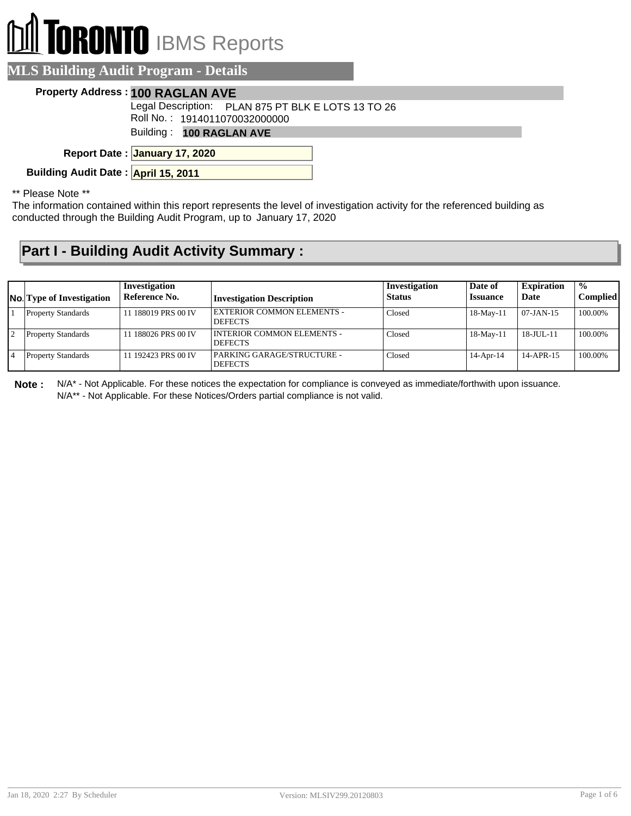# **RONTO** IBMS Reports

#### **MLS Building Audit Program - Details**

#### **Property Address : 100 RAGLAN AVE**

Legal Description: PLAN 875 PT BLK E LOTS 13 TO 26

Roll No. : 1914011070032000000

Building : **100 RAGLAN AVE**

**January 17, 2020 Report Date :**

**Building Audit Date : April 15, 2011**

\*\* Please Note \*\*

The information contained within this report represents the level of investigation activity for the referenced building as conducted through the Building Audit Program, up to January 17, 2020

### **Part I - Building Audit Activity Summary :**

| <b>No.</b> Type of Investigation | Investigation<br>Reference No. | <b>Investigation Description</b>                    | Investigation<br><b>Status</b> | Date of<br><b>Issuance</b> | <b>Expiration</b><br>Date | $\frac{1}{2}$<br><b>Complied</b> |
|----------------------------------|--------------------------------|-----------------------------------------------------|--------------------------------|----------------------------|---------------------------|----------------------------------|
| <b>Property Standards</b>        | 11 188019 PRS 00 IV            | <b>EXTERIOR COMMON ELEMENTS -</b><br><b>DEFECTS</b> | Closed                         | $18-May-11$                | 07-JAN-15                 | 100.00%                          |
| <b>Property Standards</b>        | 11 188026 PRS 00 IV            | INTERIOR COMMON ELEMENTS -<br><b>DEFECTS</b>        | Closed                         | $18-May-11$                | 18-JUL-11                 | 100.00%                          |
| <b>Property Standards</b>        | 11 192423 PRS 00 IV            | PARKING GARAGE/STRUCTURE -<br><b>DEFECTS</b>        | Closed                         | $14$ -Apr-14               | $14-APR-15$               | 100.00%                          |

**Note :** N/A\* - Not Applicable. For these notices the expectation for compliance is conveyed as immediate/forthwith upon issuance. N/A\*\* - Not Applicable. For these Notices/Orders partial compliance is not valid.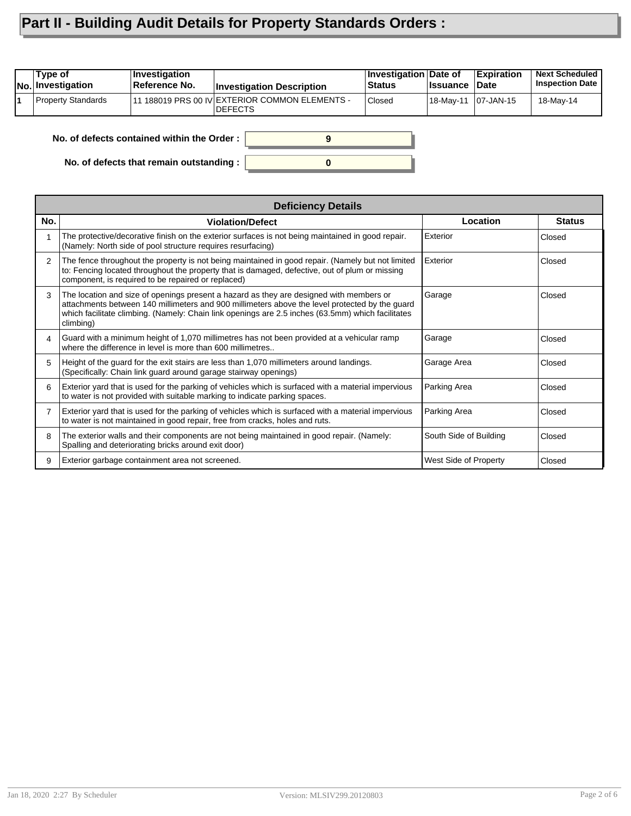## **Part II - Building Audit Details for Property Standards Orders :**

| Type of<br><b>No. Investigation</b> | <i><b>Investigation</b></i><br>Reference No. | <b>Investigation Description</b>                            | <b>Investigation Date of</b><br><b>Status</b> | <b>∣Issuance</b> | <b>Expiration</b><br>∣Date | <b>Next Scheduled</b><br><b>Inspection Date</b> |
|-------------------------------------|----------------------------------------------|-------------------------------------------------------------|-----------------------------------------------|------------------|----------------------------|-------------------------------------------------|
| <b>Property Standards</b>           |                                              | 111 188019 PRS 00 IV EXTERIOR COMMON ELEMENTS -<br>IDEFECTS | <b>Closed</b>                                 |                  |                            | 18-May-14                                       |
|                                     |                                              |                                                             |                                               |                  |                            |                                                 |

**0**

**9**

**No. of defects contained within the Order :**

**No. of defects that remain outstanding :**

|                | <b>Deficiency Details</b>                                                                                                                                                                                                                                                                                   |                        |               |  |  |  |  |  |
|----------------|-------------------------------------------------------------------------------------------------------------------------------------------------------------------------------------------------------------------------------------------------------------------------------------------------------------|------------------------|---------------|--|--|--|--|--|
| No.            | <b>Violation/Defect</b>                                                                                                                                                                                                                                                                                     | Location               | <b>Status</b> |  |  |  |  |  |
|                | The protective/decorative finish on the exterior surfaces is not being maintained in good repair.<br>(Namely: North side of pool structure requires resurfacing)                                                                                                                                            | Exterior               | Closed        |  |  |  |  |  |
| 2              | The fence throughout the property is not being maintained in good repair. (Namely but not limited<br>to: Fencing located throughout the property that is damaged, defective, out of plum or missing<br>component, is required to be repaired or replaced)                                                   | Exterior               | Closed        |  |  |  |  |  |
| 3              | The location and size of openings present a hazard as they are designed with members or<br>attachments between 140 millimeters and 900 millimeters above the level protected by the guard<br>which facilitate climbing. (Namely: Chain link openings are 2.5 inches (63.5mm) which facilitates<br>climbing) | Garage                 | Closed        |  |  |  |  |  |
| 4              | Guard with a minimum height of 1,070 millimetres has not been provided at a vehicular ramp<br>where the difference in level is more than 600 millimetres.                                                                                                                                                   | Garage                 | Closed        |  |  |  |  |  |
| 5              | Height of the guard for the exit stairs are less than 1,070 millimeters around landings.<br>(Specifically: Chain link guard around garage stairway openings)                                                                                                                                                | Garage Area            | Closed        |  |  |  |  |  |
| 6              | Exterior yard that is used for the parking of vehicles which is surfaced with a material impervious<br>to water is not provided with suitable marking to indicate parking spaces.                                                                                                                           | Parking Area           | Closed        |  |  |  |  |  |
| $\overline{7}$ | Exterior yard that is used for the parking of vehicles which is surfaced with a material impervious<br>to water is not maintained in good repair, free from cracks, holes and ruts.                                                                                                                         | Parking Area           | Closed        |  |  |  |  |  |
| 8              | The exterior walls and their components are not being maintained in good repair. (Namely:<br>Spalling and deteriorating bricks around exit door)                                                                                                                                                            | South Side of Building | Closed        |  |  |  |  |  |
| 9              | Exterior garbage containment area not screened.                                                                                                                                                                                                                                                             | West Side of Property  | Closed        |  |  |  |  |  |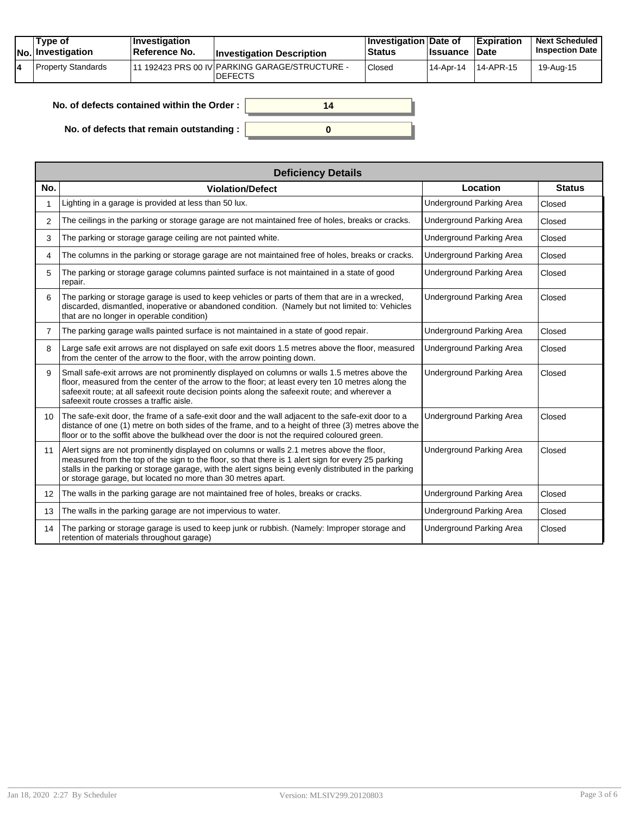| Tvpe of<br>No. Investigation | $ $ Investigation<br><b>Reference No.</b> | <b>Investigation Description</b>                                 | <b>∐nvestigation Date of</b><br><b>Status</b> | <b>Issuance Date</b> | Expiration | <b>Next Scheduled</b><br><b>Inspection Date</b> |
|------------------------------|-------------------------------------------|------------------------------------------------------------------|-----------------------------------------------|----------------------|------------|-------------------------------------------------|
| Property Standards           |                                           | 11 192423 PRS 00 IV PARKING GARAGE/STRUCTURE -<br><b>DEFECTS</b> | Closed                                        | 14-Apr-14            | 14-APR-15  | 19-Aug-15                                       |

**0**

**14**

| No. of defects contained within the Order : I |  |
|-----------------------------------------------|--|
|-----------------------------------------------|--|

**No. of defects that remain outstanding :**

|                 | <b>Deficiency Details</b>                                                                                                                                                                                                                                                                                                                                                |                                 |               |  |  |  |  |  |
|-----------------|--------------------------------------------------------------------------------------------------------------------------------------------------------------------------------------------------------------------------------------------------------------------------------------------------------------------------------------------------------------------------|---------------------------------|---------------|--|--|--|--|--|
| No.             | <b>Violation/Defect</b>                                                                                                                                                                                                                                                                                                                                                  | Location                        | <b>Status</b> |  |  |  |  |  |
|                 | Lighting in a garage is provided at less than 50 lux.                                                                                                                                                                                                                                                                                                                    | <b>Underground Parking Area</b> | Closed        |  |  |  |  |  |
| 2               | The ceilings in the parking or storage garage are not maintained free of holes, breaks or cracks.                                                                                                                                                                                                                                                                        | <b>Underground Parking Area</b> | Closed        |  |  |  |  |  |
| 3               | The parking or storage garage ceiling are not painted white.                                                                                                                                                                                                                                                                                                             | <b>Underground Parking Area</b> | Closed        |  |  |  |  |  |
| 4               | The columns in the parking or storage garage are not maintained free of holes, breaks or cracks.                                                                                                                                                                                                                                                                         | Underground Parking Area        | Closed        |  |  |  |  |  |
| 5               | The parking or storage garage columns painted surface is not maintained in a state of good<br>repair.                                                                                                                                                                                                                                                                    | Underground Parking Area        | Closed        |  |  |  |  |  |
| 6               | The parking or storage garage is used to keep vehicles or parts of them that are in a wrecked,<br>discarded, dismantled, inoperative or abandoned condition. (Namely but not limited to: Vehicles<br>that are no longer in operable condition)                                                                                                                           | Underground Parking Area        | Closed        |  |  |  |  |  |
| 7               | The parking garage walls painted surface is not maintained in a state of good repair.                                                                                                                                                                                                                                                                                    | <b>Underground Parking Area</b> | Closed        |  |  |  |  |  |
| 8               | Large safe exit arrows are not displayed on safe exit doors 1.5 metres above the floor, measured<br>from the center of the arrow to the floor, with the arrow pointing down.                                                                                                                                                                                             | Underground Parking Area        | Closed        |  |  |  |  |  |
| 9               | Small safe-exit arrows are not prominently displayed on columns or walls 1.5 metres above the<br>floor, measured from the center of the arrow to the floor; at least every ten 10 metres along the<br>safeexit route; at all safeexit route decision points along the safeexit route; and wherever a<br>safeexit route crosses a traffic aisle.                          | <b>Underground Parking Area</b> | Closed        |  |  |  |  |  |
| 10              | The safe-exit door, the frame of a safe-exit door and the wall adjacent to the safe-exit door to a<br>distance of one (1) metre on both sides of the frame, and to a height of three (3) metres above the<br>floor or to the soffit above the bulkhead over the door is not the required coloured green.                                                                 | <b>Underground Parking Area</b> | Closed        |  |  |  |  |  |
| 11              | Alert signs are not prominently displayed on columns or walls 2.1 metres above the floor,<br>measured from the top of the sign to the floor, so that there is 1 alert sign for every 25 parking<br>stalls in the parking or storage garage, with the alert signs being evenly distributed in the parking<br>or storage garage, but located no more than 30 metres apart. | Underground Parking Area        | Closed        |  |  |  |  |  |
| 12 <sup>2</sup> | The walls in the parking garage are not maintained free of holes, breaks or cracks.                                                                                                                                                                                                                                                                                      | Underground Parking Area        | Closed        |  |  |  |  |  |
| 13              | The walls in the parking garage are not impervious to water.                                                                                                                                                                                                                                                                                                             | <b>Underground Parking Area</b> | Closed        |  |  |  |  |  |
| 14              | The parking or storage garage is used to keep junk or rubbish. (Namely: Improper storage and<br>retention of materials throughout garage)                                                                                                                                                                                                                                | <b>Underground Parking Area</b> | Closed        |  |  |  |  |  |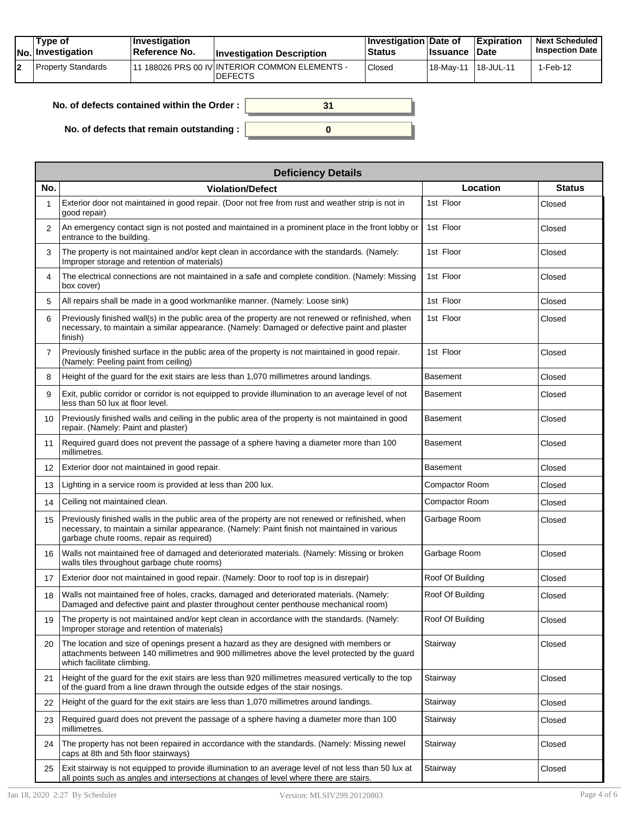| Tvpe of<br>$ No $ Investigation | <b>Investigation</b><br>Reference No. | <b>Investigation Description</b>                                              | <b>Investigation Date of</b><br>Status | <b>Ilssuance Date</b> | Expiration | <b>Next Scheduled</b><br><b>Inspection Date I</b> |
|---------------------------------|---------------------------------------|-------------------------------------------------------------------------------|----------------------------------------|-----------------------|------------|---------------------------------------------------|
| Property Standards              |                                       | <sup>1</sup> 11 188026 PRS 00 IV INTERIOR COMMON ELEMENTS -<br><b>DEFECTS</b> | Closed                                 | l 18-Mav-11           | 18-JUL-11  | 1-Feb-12                                          |

| No. of defects contained within the Order: | 31 |
|--------------------------------------------|----|
| No. of defects that remain outstanding :   |    |

|                | <b>Deficiency Details</b>                                                                                                                                                                                                                    |                  |               |  |  |  |  |  |  |
|----------------|----------------------------------------------------------------------------------------------------------------------------------------------------------------------------------------------------------------------------------------------|------------------|---------------|--|--|--|--|--|--|
| No.            | <b>Violation/Defect</b>                                                                                                                                                                                                                      | Location         | <b>Status</b> |  |  |  |  |  |  |
| 1              | Exterior door not maintained in good repair. (Door not free from rust and weather strip is not in<br>good repair)                                                                                                                            | 1st Floor        | Closed        |  |  |  |  |  |  |
| $\overline{2}$ | An emergency contact sign is not posted and maintained in a prominent place in the front lobby or<br>entrance to the building.                                                                                                               | 1st Floor        | Closed        |  |  |  |  |  |  |
| 3              | The property is not maintained and/or kept clean in accordance with the standards. (Namely:<br>Improper storage and retention of materials)                                                                                                  | 1st Floor        | Closed        |  |  |  |  |  |  |
| 4              | The electrical connections are not maintained in a safe and complete condition. (Namely: Missing<br>box cover)                                                                                                                               | 1st Floor        | Closed        |  |  |  |  |  |  |
| 5              | All repairs shall be made in a good workmanlike manner. (Namely: Loose sink)                                                                                                                                                                 | 1st Floor        | Closed        |  |  |  |  |  |  |
| 6              | Previously finished wall(s) in the public area of the property are not renewed or refinished, when<br>necessary, to maintain a similar appearance. (Namely: Damaged or defective paint and plaster<br>finish)                                | 1st Floor        | Closed        |  |  |  |  |  |  |
| $\overline{7}$ | Previously finished surface in the public area of the property is not maintained in good repair.<br>(Namely: Peeling paint from ceiling)                                                                                                     | 1st Floor        | Closed        |  |  |  |  |  |  |
| 8              | Height of the guard for the exit stairs are less than 1,070 millimetres around landings.                                                                                                                                                     | Basement         | Closed        |  |  |  |  |  |  |
| 9              | Exit, public corridor or corridor is not equipped to provide illumination to an average level of not<br>less than 50 lux at floor level.                                                                                                     | <b>Basement</b>  | Closed        |  |  |  |  |  |  |
| 10             | Previously finished walls and ceiling in the public area of the property is not maintained in good<br>repair. (Namely: Paint and plaster)                                                                                                    | <b>Basement</b>  | Closed        |  |  |  |  |  |  |
| 11             | Required guard does not prevent the passage of a sphere having a diameter more than 100<br>millimetres.                                                                                                                                      | Basement         | Closed        |  |  |  |  |  |  |
| 12             | Exterior door not maintained in good repair.                                                                                                                                                                                                 | Basement         | Closed        |  |  |  |  |  |  |
| 13             | Lighting in a service room is provided at less than 200 lux.                                                                                                                                                                                 | Compactor Room   | Closed        |  |  |  |  |  |  |
| 14             | Ceiling not maintained clean.                                                                                                                                                                                                                | Compactor Room   | Closed        |  |  |  |  |  |  |
| 15             | Previously finished walls in the public area of the property are not renewed or refinished, when<br>necessary, to maintain a similar appearance. (Namely: Paint finish not maintained in various<br>garbage chute rooms, repair as required) | Garbage Room     | Closed        |  |  |  |  |  |  |
| 16             | Walls not maintained free of damaged and deteriorated materials. (Namely: Missing or broken<br>walls tiles throughout garbage chute rooms)                                                                                                   | Garbage Room     | Closed        |  |  |  |  |  |  |
| 17             | Exterior door not maintained in good repair. (Namely: Door to roof top is in disrepair)                                                                                                                                                      | Roof Of Building | Closed        |  |  |  |  |  |  |
| 18             | Walls not maintained free of holes, cracks, damaged and deteriorated materials. (Namely:<br>Damaged and defective paint and plaster throughout center penthouse mechanical room)                                                             | Roof Of Building | Closed        |  |  |  |  |  |  |
| 19             | The property is not maintained and/or kept clean in accordance with the standards. (Namely:<br>Improper storage and retention of materials)                                                                                                  | Roof Of Building | Closed        |  |  |  |  |  |  |
| 20             | The location and size of openings present a hazard as they are designed with members or<br>attachments between 140 millimetres and 900 millimetres above the level protected by the guard<br>which facilitate climbing.                      | Stairway         | Closed        |  |  |  |  |  |  |
| 21             | Height of the guard for the exit stairs are less than 920 millimetres measured vertically to the top<br>of the guard from a line drawn through the outside edges of the stair nosings.                                                       | Stairway         | Closed        |  |  |  |  |  |  |
| 22             | Height of the quard for the exit stairs are less than 1,070 millimetres around landings.                                                                                                                                                     | Stairway         | Closed        |  |  |  |  |  |  |
| 23             | Required guard does not prevent the passage of a sphere having a diameter more than 100<br>millimetres.                                                                                                                                      | Stairway         | Closed        |  |  |  |  |  |  |
| 24             | The property has not been repaired in accordance with the standards. (Namely: Missing newel<br>caps at 8th and 5th floor stairways)                                                                                                          | Stairway         | Closed        |  |  |  |  |  |  |
| 25             | Exit stairway is not equipped to provide illumination to an average level of not less than 50 lux at<br>all points such as angles and intersections at changes of level where there are stairs.                                              | Stairway         | Closed        |  |  |  |  |  |  |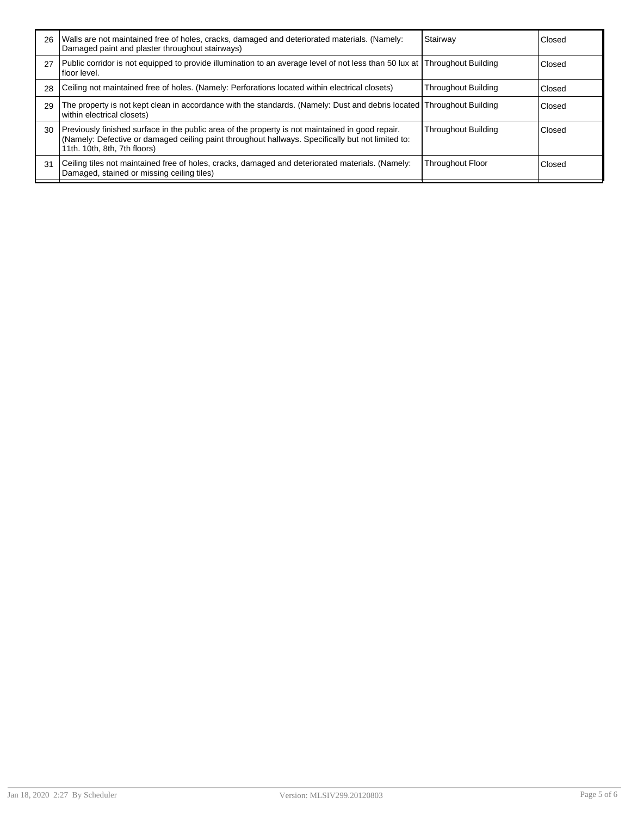| 26 | Walls are not maintained free of holes, cracks, damaged and deteriorated materials. (Namely:<br>Damaged paint and plaster throughout stairways)                                                                                       | Stairway                   | Closed |
|----|---------------------------------------------------------------------------------------------------------------------------------------------------------------------------------------------------------------------------------------|----------------------------|--------|
| 27 | Public corridor is not equipped to provide illumination to an average level of not less than 50 lux at Throughout Building<br>floor level.                                                                                            |                            | Closed |
| 28 | Ceiling not maintained free of holes. (Namely: Perforations located within electrical closets)                                                                                                                                        | <b>Throughout Building</b> | Closed |
| 29 | The property is not kept clean in accordance with the standards. (Namely: Dust and debris located Throughout Building<br>within electrical closets)                                                                                   |                            | Closed |
| 30 | Previously finished surface in the public area of the property is not maintained in good repair.<br>(Namely: Defective or damaged ceiling paint throughout hallways. Specifically but not limited to:<br>11th. 10th, 8th, 7th floors) | <b>Throughout Building</b> | Closed |
| 31 | Ceiling tiles not maintained free of holes, cracks, damaged and deteriorated materials. (Namely:<br>Damaged, stained or missing ceiling tiles)                                                                                        | <b>Throughout Floor</b>    | Closed |